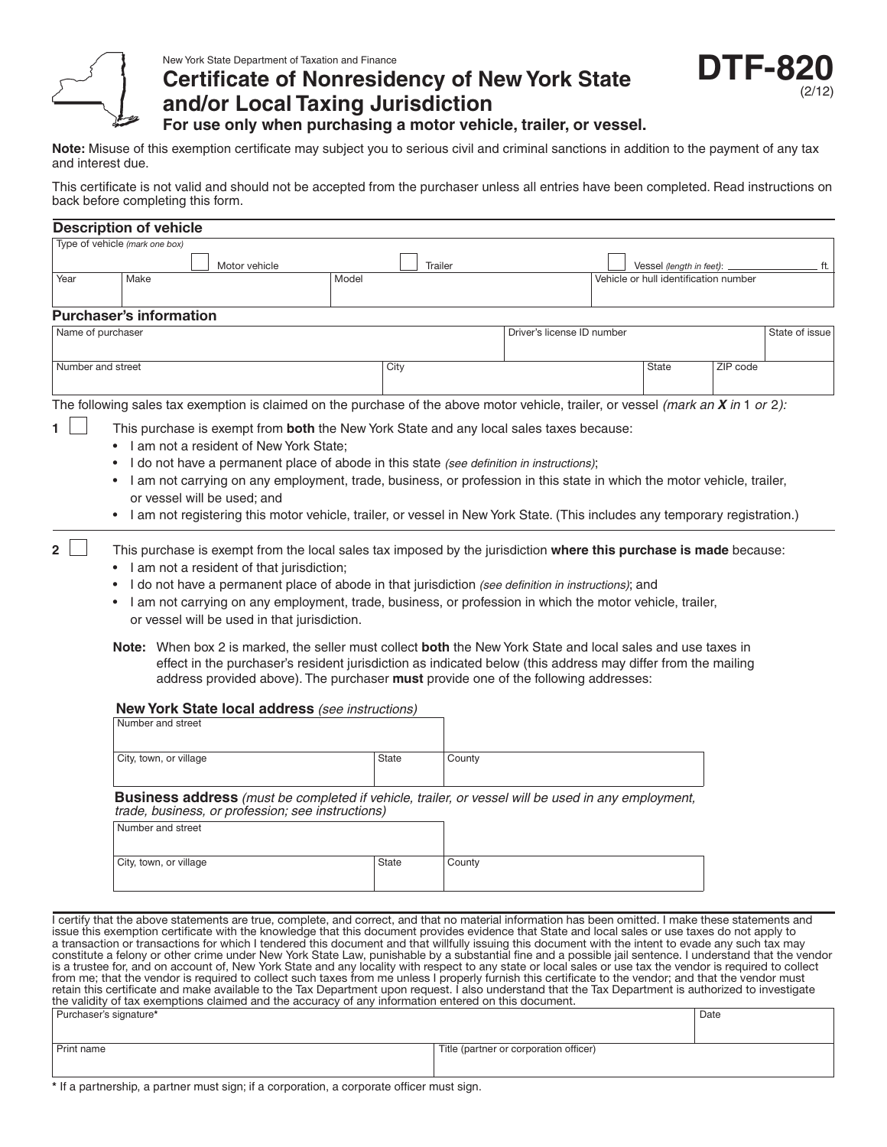

# **Certificate of Nonresidency of New York State and/or Local Taxing Jurisdiction**



**For use only when purchasing a motor vehicle, trailer, or vessel.**

**Note:** Misuse of this exemption certificate may subject you to serious civil and criminal sanctions in addition to the payment of any tax and interest due.

This certificate is not valid and should not be accepted from the purchaser unless all entries have been completed. Read instructions on back before completing this form.

|                        | <b>Description of vehicle</b>                                                                                                                                                       |                             |                                                                                                                                                                                        |       |              |         |                                                                                                                                                                                                                                                                                                                                                                                                                                                                                                                                                                                                                                                                                                                                                                                                                                                                                                                                                                                                                                                                                                            |                                       |          |                |
|------------------------|-------------------------------------------------------------------------------------------------------------------------------------------------------------------------------------|-----------------------------|----------------------------------------------------------------------------------------------------------------------------------------------------------------------------------------|-------|--------------|---------|------------------------------------------------------------------------------------------------------------------------------------------------------------------------------------------------------------------------------------------------------------------------------------------------------------------------------------------------------------------------------------------------------------------------------------------------------------------------------------------------------------------------------------------------------------------------------------------------------------------------------------------------------------------------------------------------------------------------------------------------------------------------------------------------------------------------------------------------------------------------------------------------------------------------------------------------------------------------------------------------------------------------------------------------------------------------------------------------------------|---------------------------------------|----------|----------------|
|                        | Type of vehicle (mark one box)                                                                                                                                                      |                             |                                                                                                                                                                                        |       |              |         |                                                                                                                                                                                                                                                                                                                                                                                                                                                                                                                                                                                                                                                                                                                                                                                                                                                                                                                                                                                                                                                                                                            |                                       |          |                |
|                        |                                                                                                                                                                                     |                             | Motor vehicle                                                                                                                                                                          |       |              | Trailer |                                                                                                                                                                                                                                                                                                                                                                                                                                                                                                                                                                                                                                                                                                                                                                                                                                                                                                                                                                                                                                                                                                            | Vessel (length in feet):              |          | ft.            |
| Year                   | Make                                                                                                                                                                                |                             |                                                                                                                                                                                        | Model |              |         |                                                                                                                                                                                                                                                                                                                                                                                                                                                                                                                                                                                                                                                                                                                                                                                                                                                                                                                                                                                                                                                                                                            | Vehicle or hull identification number |          |                |
|                        | <b>Purchaser's information</b>                                                                                                                                                      |                             |                                                                                                                                                                                        |       |              |         |                                                                                                                                                                                                                                                                                                                                                                                                                                                                                                                                                                                                                                                                                                                                                                                                                                                                                                                                                                                                                                                                                                            |                                       |          |                |
| Name of purchaser      |                                                                                                                                                                                     |                             |                                                                                                                                                                                        |       |              |         | Driver's license ID number                                                                                                                                                                                                                                                                                                                                                                                                                                                                                                                                                                                                                                                                                                                                                                                                                                                                                                                                                                                                                                                                                 |                                       |          | State of issue |
|                        |                                                                                                                                                                                     |                             |                                                                                                                                                                                        |       |              |         |                                                                                                                                                                                                                                                                                                                                                                                                                                                                                                                                                                                                                                                                                                                                                                                                                                                                                                                                                                                                                                                                                                            |                                       |          |                |
| Number and street      |                                                                                                                                                                                     |                             |                                                                                                                                                                                        |       | City         |         |                                                                                                                                                                                                                                                                                                                                                                                                                                                                                                                                                                                                                                                                                                                                                                                                                                                                                                                                                                                                                                                                                                            | State                                 | ZIP code |                |
|                        |                                                                                                                                                                                     |                             |                                                                                                                                                                                        |       |              |         | The following sales tax exemption is claimed on the purchase of the above motor vehicle, trailer, or vessel (mark an $X$ in 1 or 2):                                                                                                                                                                                                                                                                                                                                                                                                                                                                                                                                                                                                                                                                                                                                                                                                                                                                                                                                                                       |                                       |          |                |
| $\mathbf{2}$           | $\bullet$<br>$\bullet$<br>$\bullet$<br>٠<br>Number and street                                                                                                                       | or vessel will be used; and | I am not a resident of New York State;<br>I am not a resident of that jurisdiction;<br>or vessel will be used in that jurisdiction.<br>New York State local address (see instructions) |       |              |         | This purchase is exempt from both the New York State and any local sales taxes because:<br>I do not have a permanent place of abode in this state (see definition in instructions);<br>I am not carrying on any employment, trade, business, or profession in this state in which the motor vehicle, trailer,<br>I am not registering this motor vehicle, trailer, or vessel in New York State. (This includes any temporary registration.)<br>This purchase is exempt from the local sales tax imposed by the jurisdiction where this purchase is made because:<br>I do not have a permanent place of abode in that jurisdiction (see definition in instructions); and<br>I am not carrying on any employment, trade, business, or profession in which the motor vehicle, trailer,<br>Note: When box 2 is marked, the seller must collect both the New York State and local sales and use taxes in<br>effect in the purchaser's resident jurisdiction as indicated below (this address may differ from the mailing<br>address provided above). The purchaser must provide one of the following addresses: |                                       |          |                |
|                        |                                                                                                                                                                                     |                             |                                                                                                                                                                                        |       |              |         |                                                                                                                                                                                                                                                                                                                                                                                                                                                                                                                                                                                                                                                                                                                                                                                                                                                                                                                                                                                                                                                                                                            |                                       |          |                |
|                        | City, town, or village                                                                                                                                                              |                             |                                                                                                                                                                                        |       | <b>State</b> | County  |                                                                                                                                                                                                                                                                                                                                                                                                                                                                                                                                                                                                                                                                                                                                                                                                                                                                                                                                                                                                                                                                                                            |                                       |          |                |
|                        | <b>Business address</b> (must be completed if vehicle, trailer, or vessel will be used in any employment,<br>trade, business, or profession; see instructions)<br>Number and street |                             |                                                                                                                                                                                        |       |              |         |                                                                                                                                                                                                                                                                                                                                                                                                                                                                                                                                                                                                                                                                                                                                                                                                                                                                                                                                                                                                                                                                                                            |                                       |          |                |
|                        | City, town, or village                                                                                                                                                              |                             |                                                                                                                                                                                        |       | State        | County  |                                                                                                                                                                                                                                                                                                                                                                                                                                                                                                                                                                                                                                                                                                                                                                                                                                                                                                                                                                                                                                                                                                            |                                       |          |                |
| Purchaser's signature* |                                                                                                                                                                                     |                             | the validity of tax exemptions claimed and the accuracy of any information entered on this document.                                                                                   |       |              |         | I certify that the above statements are true, complete, and correct, and that no material information has been omitted. I make these statements and<br>issue this exemption certificate with the knowledge that this document provides evidence that State and local sales or use taxes do not apply to<br>a transaction or transactions for which I tendered this document and that willfully issuing this document with the intent to evade any such tax may<br>constitute a felony or other crime under New York State Law, punishable by a substantial fine and a possible jail sentence. I understand that the vendor<br>is a trustee for, and on account of, New York State and any locality with respect to any state or local sales or use tax the vendor is required to collect<br>from me; that the vendor is required to collect such taxes from me unless I properly furnish this certificate to the vendor; and that the vendor must<br>retain this certificate and make available to the Tax Department upon request. I also understand that the Tax Department is authorized to investigate |                                       | Date     |                |
| Print name             |                                                                                                                                                                                     |                             |                                                                                                                                                                                        |       |              |         | Title (partner or corporation officer)                                                                                                                                                                                                                                                                                                                                                                                                                                                                                                                                                                                                                                                                                                                                                                                                                                                                                                                                                                                                                                                                     |                                       |          |                |

**\*** If a partnership, a partner must sign; if a corporation, a corporate officer must sign.